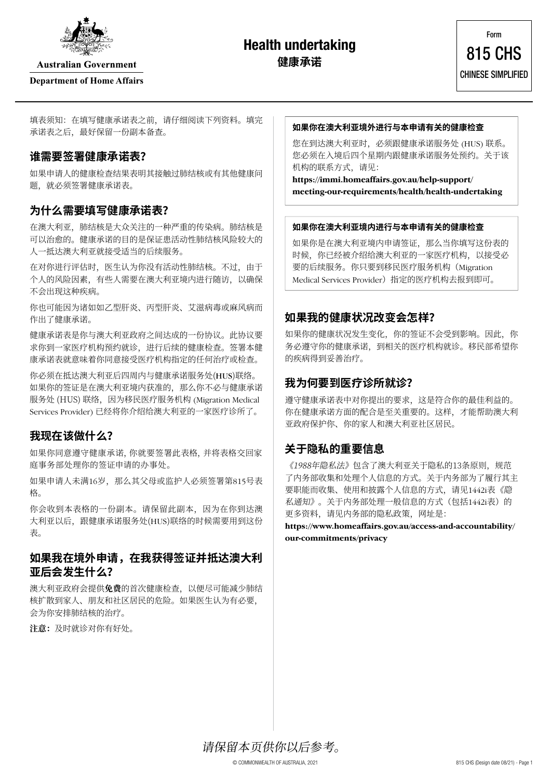

**Australian Government** 

#### **Department of Home Affairs**

# **Health undertaking 健康承诺**

填表须知: 在填写健康承诺表之前, 请仔细阅读下列资料。填完 承诺表之后,最好保留一份副本备查。

#### **谁需要签署健康承诺表?**

如果申请人的健康检查结果表明其接触过肺结核或有其他健康问 题,就必须签署健康承诺表。

## **为什么需要填写健康承诺表?**

在澳大利亚,肺结核是大众关注的一种严重的传染病。肺结核是 可以治愈的。健康承诺的目的是保证患活动性肺结核风险较大的 人一抵达澳大利亚就接受适当的后续服务。

在对你进行评估时,医生认为你没有活动性肺结核。不过,由于 个人的风险因素,有些人需要在澳大利亚境内进行随访,以确保 不会出现这种疾病。

你也可能因为诸如如乙型肝炎、丙型肝炎、艾滋病毒或麻风病而 作出了健康承诺。

健康承诺表是你与澳大利亚政府之间达成的一份协议。此协议要 求你到一家医疗机构预约就诊,进行后续的健康检查。签署本健 康承诺表就意味着你同意接受医疗机构指定的任何治疗或检查。

你必须在抵达澳大利亚后四周内与健康承诺服务处(HUS)联络。 如果你的签证是在澳大利亚境内获准的,那么你不必与健康承诺 服务处 (HUS) 联络, 因为移民医疗服务机构 (Migration Medical Services Provider) 已经将你介绍给澳大利亚的一家医疗诊所了。

# **我现在该做什么?**

如果你同意遵守健康承诺,你就要签署此表格,并将表格交回家 庭事务部处理你的签证申请的办事处。

如果申请人未满16岁,那么其父母或监护人必须签署第815号表 格。

你会收到本表格的一份副本。请保留此副本,因为在你到达澳 大利亚以后,跟健康承诺服务处(HUS)联络的时候需要用到这份 表。

### **如果我在境外申请,在我获得签证并抵达澳大利 亚后会发生什么?**

澳大利亚政府会提供**免费**的首次健康检查,以便尽可能减少肺结 核扩散到家人、朋友和社区居民的危险。如果医生认为有必要, 会为你安排肺结核的治疗。

**注意:**及时就诊对你有好处。

#### **如果你在澳大利亚境外进行与本申请有关的健康检查**

您在到达澳大利亚时,必须跟健康承诺服务处 (HUS) 联系。 您必须在入境后四个星期内跟健康承诺服务处预约。关于该 机构的联系方式,请见:

**[https://immi.homeaffairs.gov.au/help-support/](https://immi.homeaffairs.gov.au/help-support/meeting-our-requirements/health/health-undertaking) [meeting-our-requirements/health/health-undertaking](https://immi.homeaffairs.gov.au/help-support/meeting-our-requirements/health/health-undertaking)**

#### **如果你在澳大利亚境内进行与本申请有关的健康检查**

如果你是在澳大利亚境内申请签证,那么当你填写这份表的 时候,你已经被介绍给澳大利亚的一家医疗机构,以接受必 要的后续服务。你只要到移民医疗服务机构(Migration Medical Services Provider)指定的医疗机构去报到即可。

## **如果我的健康状况改变会怎样?**

如果你的健康状况发生变化,你的签证不会受到影响。因此,你 务必遵守你的健康承诺,到相关的医疗机构就诊。移民部希望你 的疾病得到妥善治疗。

#### **我为何要到医疗诊所就诊?**

遵守健康承诺表中对你提出的要求,这是符合你的最佳利益的。 你在健康承诺方面的配合是至关重要的。这样,才能帮助澳大利 亚政府保护你、你的家人和澳大利亚社区居民。

# **关于隐私的重要信息**

《1988年隐私法》包含了澳大利亚关于隐私的13条原则,规范 了内务部收集和处理个人信息的方式。关于内务部为了履行其主 要职能而收集、使用和披露个人信息的方式,请见1442i表《隐 私通知》。关于内务部处理一般信息的方式(包括1442i表)的 更多资料,请见内务部的隐私政策,网址是:

**[https://www.homeaffairs.gov.au/access-and-accountability/](https://www.homeaffairs.gov.au/access-and-accountability/our-commitments/privacy) [our-commitments/privacy](https://www.homeaffairs.gov.au/access-and-accountability/our-commitments/privacy)**

请保留本页供你以后参考。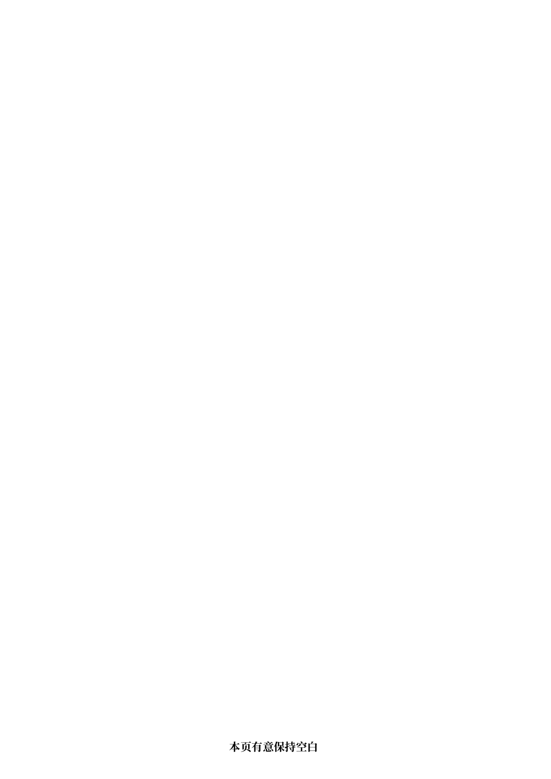**本页有意保持空白**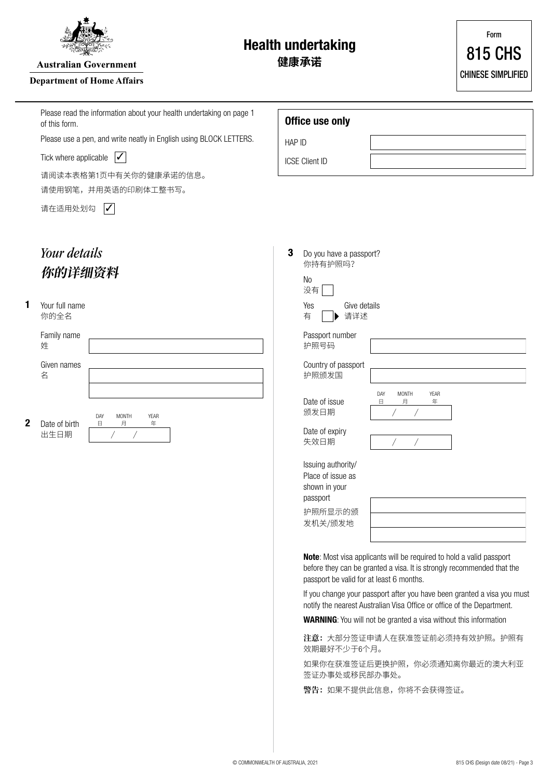

**Australian Government** 

#### **Department of Home Affairs**

**Health undertaking**

**健康承诺**

|             | Please read the information about your health undertaking on page 1<br>of this form. |        | Office use only                                                                            |                                                                                                                                                       |  |
|-------------|--------------------------------------------------------------------------------------|--------|--------------------------------------------------------------------------------------------|-------------------------------------------------------------------------------------------------------------------------------------------------------|--|
|             | Please use a pen, and write neatly in English using BLOCK LETTERS.                   | HAP ID |                                                                                            |                                                                                                                                                       |  |
|             | $\sqrt{}$<br>Tick where applicable<br>请阅读本表格第1页中有关你的健康承诺的信息。<br>请使用钢笔,并用英语的印刷体工整书写。  |        | <b>ICSE Client ID</b>                                                                      |                                                                                                                                                       |  |
|             |                                                                                      |        |                                                                                            |                                                                                                                                                       |  |
|             | $\boldsymbol{V}$<br>请在适用处划勾                                                          |        |                                                                                            |                                                                                                                                                       |  |
|             | Your details<br>你的详细资料                                                               |        | Do you have a passport?<br>你持有护照吗?<br>N <sub>0</sub><br>没有                                 |                                                                                                                                                       |  |
| 1           | Your full name<br>你的全名                                                               |        | Give details<br>Yes<br>有<br>请详述                                                            |                                                                                                                                                       |  |
|             | Family name<br>姓                                                                     |        | Passport number<br>护照号码                                                                    |                                                                                                                                                       |  |
|             | Given names<br>名                                                                     |        | Country of passport<br>护照颁发国                                                               |                                                                                                                                                       |  |
| $\mathbf 2$ | DAY<br><b>MONTH</b><br>YEAR<br>Date of birth<br>$\Box$<br>月<br>年<br>出生日期<br>Τ        |        | Date of issue<br>颁发日期<br>Date of expiry<br>失效日期                                            | DAY<br><b>MONTH</b><br>YEAR<br>日<br>月<br>年<br>Τ                                                                                                       |  |
|             |                                                                                      |        | Issuing authority/<br>Place of issue as<br>shown in your<br>passport<br>护照所显示的颁<br>发机关/颁发地 |                                                                                                                                                       |  |
|             |                                                                                      |        | passport be valid for at least 6 months.                                                   | <b>Note:</b> Most visa applicants will be required to hold a valid passport<br>before they can be granted a visa. It is strongly recommended that the |  |
|             |                                                                                      |        |                                                                                            | If you change your passport after you have been granted a visa you must<br>notify the nearest Australian Visa Office or office of the Department.     |  |
|             |                                                                                      |        |                                                                                            | <b>WARNING:</b> You will not be granted a visa without this information                                                                               |  |
|             |                                                                                      |        | 效期最好不少于6个月。                                                                                | 注意: 大部分签证申请人在获准签证前必须持有效护照。护照有                                                                                                                         |  |
|             |                                                                                      |        | 签证办事处或移民部办事处。                                                                              | 如果你在获准签证后更换护照,你必须通知离你最近的澳大利亚                                                                                                                          |  |
|             |                                                                                      |        |                                                                                            | 警告: 如果不提供此信息, 你将不会获得签证。                                                                                                                               |  |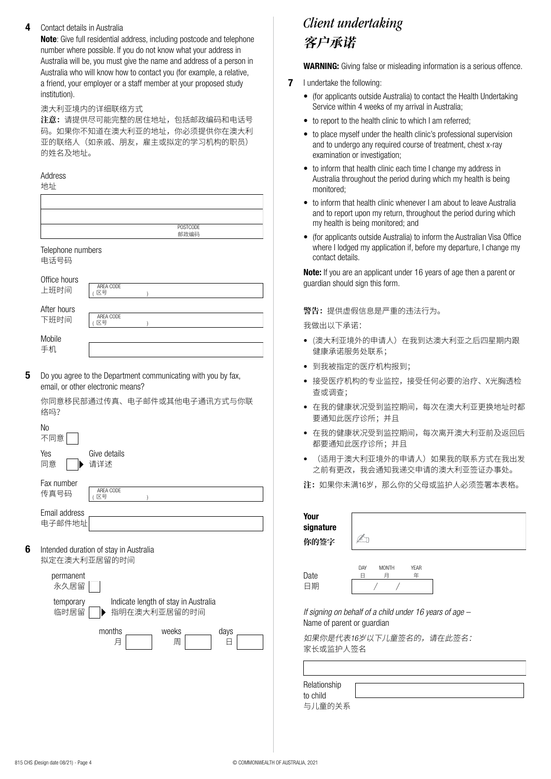#### **4** Contact details in Australia

**Note**: Give full residential address, including postcode and telephone number where possible. If you do not know what your address in Australia will be, you must give the name and address of a person in Australia who will know how to contact you (for example, a relative, a friend, your employer or a staff member at your proposed study institution).

#### 澳大利亚境内的详细联络方式

**注意:**请提供尽可能完整的居住地址,包括邮政编码和电话号 码。如果你不知道在澳大利亚的地址,你必须提供你在澳大利 亚的联络人(如亲戚、朋友,雇主或拟定的学习机构的职员) 的姓名及地址。

Address

**5**

**6**

| 地址                                                                                                                                       |                                                      |  |  |  |
|------------------------------------------------------------------------------------------------------------------------------------------|------------------------------------------------------|--|--|--|
|                                                                                                                                          |                                                      |  |  |  |
|                                                                                                                                          | POSTCODE<br>邮政编码                                     |  |  |  |
| Telephone numbers<br>电话号码                                                                                                                |                                                      |  |  |  |
| Office hours<br>上班时间                                                                                                                     | AREA CODE<br>区号<br>)                                 |  |  |  |
| After hours<br>下班时间                                                                                                                      | AREA CODE<br>区号<br>)                                 |  |  |  |
| Mobile<br>手机                                                                                                                             |                                                      |  |  |  |
| Do you agree to the Department communicating with you by fax,<br>email, or other electronic means?<br>你同意移民部通过传真、电子邮件或其他电子通讯方式与你联<br>络吗? |                                                      |  |  |  |
| No<br>不同意                                                                                                                                |                                                      |  |  |  |
| Yes<br>同意                                                                                                                                | Give details<br>请详述                                  |  |  |  |
| Fax number<br>传真号码                                                                                                                       | AREA CODE<br>区号                                      |  |  |  |
| Email address<br>电子邮件地址                                                                                                                  |                                                      |  |  |  |
| Intended duration of stay in Australia<br>拟定在澳大利亚居留的时间                                                                                   |                                                      |  |  |  |
| permanent<br>永久居留                                                                                                                        |                                                      |  |  |  |
| temporary<br>临时居留                                                                                                                        | Indicate length of stay in Australia<br>指明在澳大利亚居留的时间 |  |  |  |
|                                                                                                                                          | months<br>weeks<br>days<br>月<br>周<br>日               |  |  |  |
|                                                                                                                                          |                                                      |  |  |  |
|                                                                                                                                          |                                                      |  |  |  |

# **客户承诺** *Client undertaking*

**WARNING:** Giving false or misleading information is a serious offence.

- **7** I undertake the following:
	- (for applicants outside Australia) to contact the Health Undertaking Service within 4 weeks of my arrival in Australia;
	- to report to the health clinic to which I am referred:
	- to place myself under the health clinic's professional supervision and to undergo any required course of treatment, chest x-ray examination or investigation;
	- to inform that health clinic each time I change my address in Australia throughout the period during which my health is being monitored;
	- to inform that health clinic whenever I am about to leave Australia and to report upon my return, throughout the period during which my health is being monitored; and
	- (for applicants outside Australia) to inform the Australian Visa Office where I lodged my application if, before my departure, I change my contact details.

**Note:** If you are an applicant under 16 years of age then a parent or guardian should sign this form.

警告:提供虚假信息是严重的违法行为。

我做出以下承诺:

- (澳大利亚境外的申请人)在我到达澳大利亚之后四星期内跟 健康承诺服务处联系;
- 到我被指定的医疗机构报到;
- 接受医疗机构的专业监控,接受任何必要的治疗、X光胸透检 查或调查;
- 在我的健康状况受到监控期间,每次在澳大利亚更换地址时都 要通知此医疗诊所;并且
- 在我的健康状况受到监控期间,每次离开澳大利亚前及返回后 都要通知此医疗诊所;并且
- (适用于澳大利亚境外的申请人)如果我的联系方式在我出发 之前有更改,我会通知我递交申请的澳大利亚签证办事处。

**注:**如果你未满16岁,那么你的父母或监护人必须签署本表格。

| Your<br>signature<br>你的签字                                                             |                               |                  |  |  |  |  |  |
|---------------------------------------------------------------------------------------|-------------------------------|------------------|--|--|--|--|--|
| Date<br>日期                                                                            | DAY<br><b>MONTH</b><br>月<br>⊟ | <b>YEAR</b><br>年 |  |  |  |  |  |
| If signing on behalf of a child under 16 years of age -<br>Name of parent or guardian |                               |                  |  |  |  |  |  |

如果你是代表16岁以下儿童签名的,请在此签名: 家长或监护人签名

与儿童的关系 Relationship to child